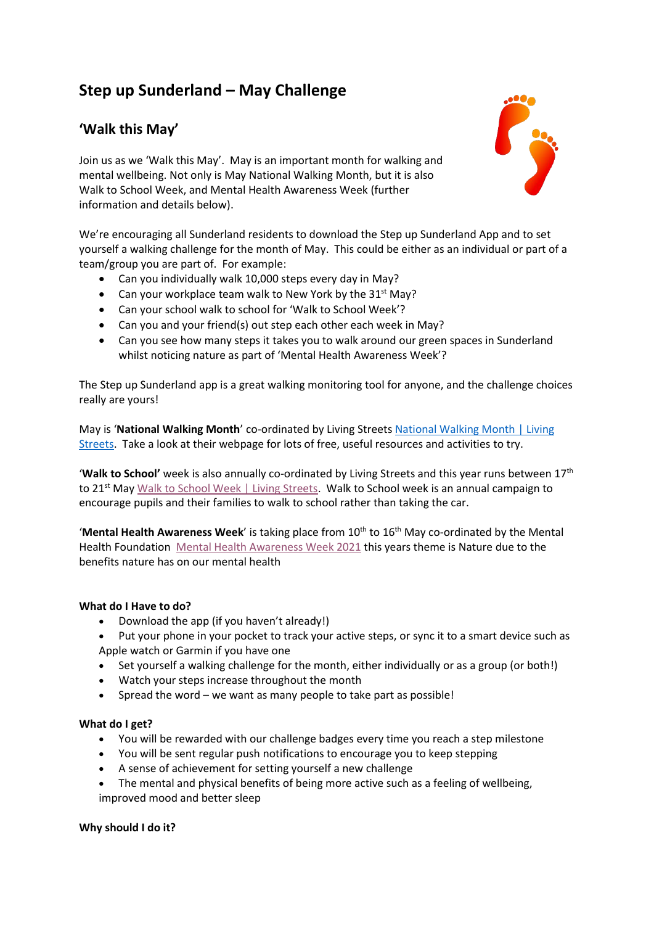# **Step up Sunderland – May Challenge**

# **'Walk this May'**

Join us as we 'Walk this May'. May is an important month for walking and mental wellbeing. Not only is May National Walking Month, but it is also Walk to School Week, and Mental Health Awareness Week (further information and details below).

We're encouraging all Sunderland residents to download the Step up Sunderland App and to set yourself a walking challenge for the month of May. This could be either as an individual or part of a team/group you are part of. For example:

- Can you individually walk 10,000 steps every day in May?
- Can your workplace team walk to New York by the  $31<sup>st</sup>$  May?
- Can your school walk to school for 'Walk to School Week'?
- Can you and your friend(s) out step each other each week in May?
- Can you see how many steps it takes you to walk around our green spaces in Sunderland whilst noticing nature as part of 'Mental Health Awareness Week'?

The Step up Sunderland app is a great walking monitoring tool for anyone, and the challenge choices really are yours!

May is '**National Walking Month**' co-ordinated by Living Street[s National Walking Month | Living](https://www.livingstreets.org.uk/get-involved/campaign-with-us/national-walking-month)  [Streets.](https://www.livingstreets.org.uk/get-involved/campaign-with-us/national-walking-month) Take a look at their webpage for lots of free, useful resources and activities to try.

'**Walk to School'** week is also annually co-ordinated by Living Streets and this year runs between 17th to 21<sup>st</sup> May [Walk to School Week | Living Streets.](https://www.livingstreets.org.uk/products-and-services/projects/walk-to-school-week) Walk to School week is an annual campaign to encourage pupils and their families to walk to school rather than taking the car.

'Mental Health Awareness Week' is taking place from 10<sup>th</sup> to 16<sup>th</sup> May co-ordinated by the Mental Health Foundation [Mental Health Awareness Week 2021](https://www.mentalhealth.org.uk/campaigns/mental-health-awareness-week) this years theme is Nature due to the benefits nature has on our mental health

## **What do I Have to do?**

- Download the app (if you haven't already!)
- Put your phone in your pocket to track your active steps, or sync it to a smart device such as Apple watch or Garmin if you have one
- Set yourself a walking challenge for the month, either individually or as a group (or both!)
- Watch your steps increase throughout the month
- Spread the word we want as many people to take part as possible!

### **What do I get?**

- You will be rewarded with our challenge badges every time you reach a step milestone
- You will be sent regular push notifications to encourage you to keep stepping
- A sense of achievement for setting yourself a new challenge
- The mental and physical benefits of being more active such as a feeling of wellbeing, improved mood and better sleep

### **Why should I do it?**